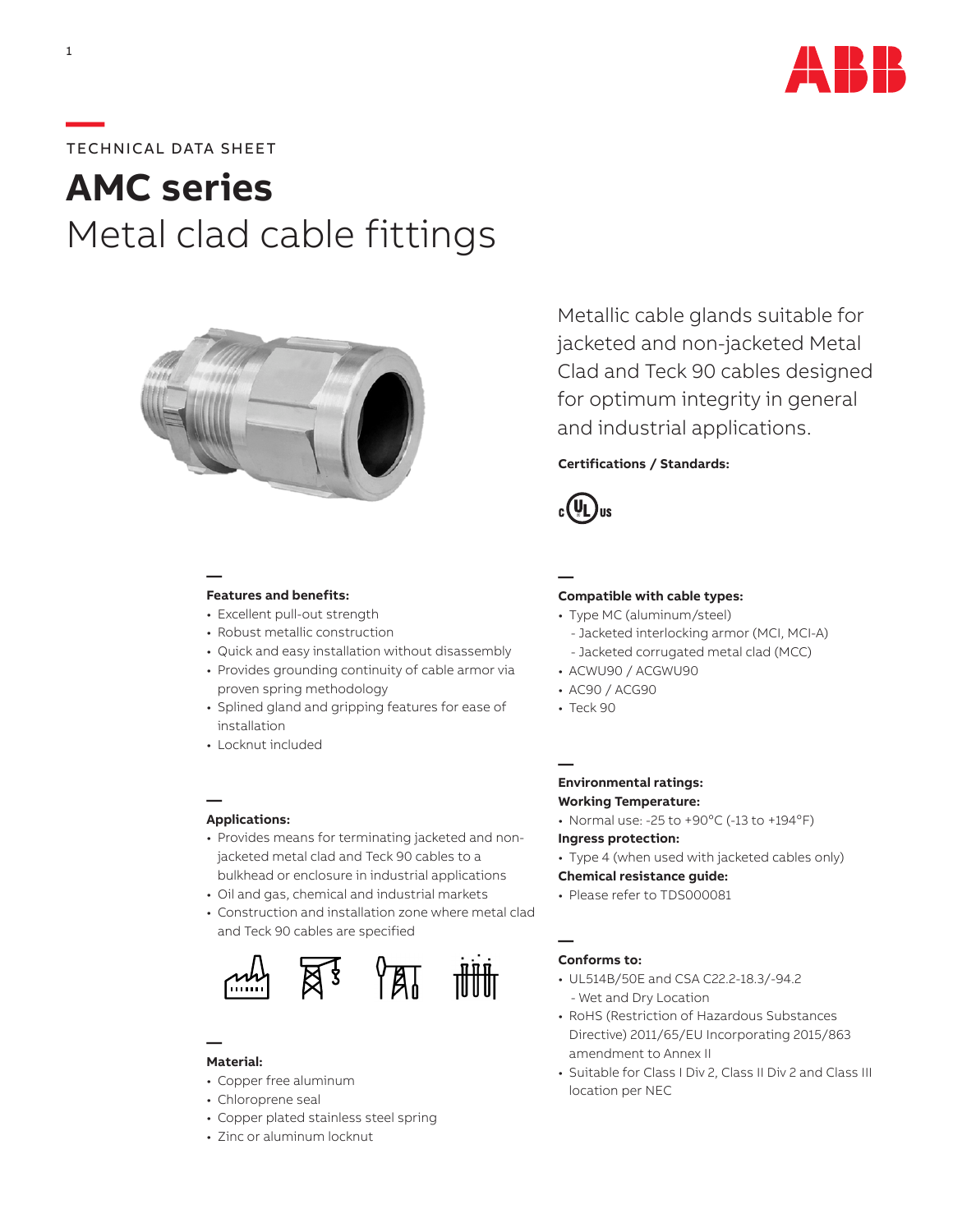

# **—**TECHNICAL DATA SHEET

# **AMC series** Metal clad cable fittings



**Features and benefits:**

**—**

- Excellent pull-out strength
- Robust metallic construction
- Quick and easy installation without disassembly
- Provides grounding continuity of cable armor via proven spring methodology
- Splined gland and gripping features for ease of installation
- Locknut included

#### **Applications:**

**—**

- Provides means for terminating jacketed and nonjacketed metal clad and Teck 90 cables to a bulkhead or enclosure in industrial applications
- Oil and gas, chemical and industrial markets
- Construction and installation zone where metal clad and Teck 90 cables are specified



#### **— Material:**

- Copper free aluminum
- Chloroprene seal
- Copper plated stainless steel spring
- Zinc or aluminum locknut

Metallic cable glands suitable for jacketed and non-jacketed Metal Clad and Teck 90 cables designed for optimum integrity in general and industrial applications.

## **Certifications / Standards:**



**—**

## **Compatible with cable types:**

- Type MC (aluminum/steel) - Jacketed interlocking armor (MCI, MCI-A)
	- Jacketed corrugated metal clad (MCC)
- ACWU90 / ACGWU90
- AC90 / ACG90
- Teck 90

**—**

#### **Environmental ratings: Working Temperature:**

- Normal use: -25 to  $+90^{\circ}$ C (-13 to  $+194^{\circ}$ F)
- **Ingress protection:**
- Type 4 (when used with jacketed cables only)

#### **Chemical resistance guide:**

• Please refer to TDS000081

#### **Conforms to:**

**—**

- UL514B/50E and CSA C22.2-18.3/-94.2 - Wet and Dry Location
- RoHS (Restriction of Hazardous Substances Directive) 2011/65/EU Incorporating 2015/863 amendment to Annex II
- Suitable for Class I Div 2, Class II Div 2 and Class III location per NEC